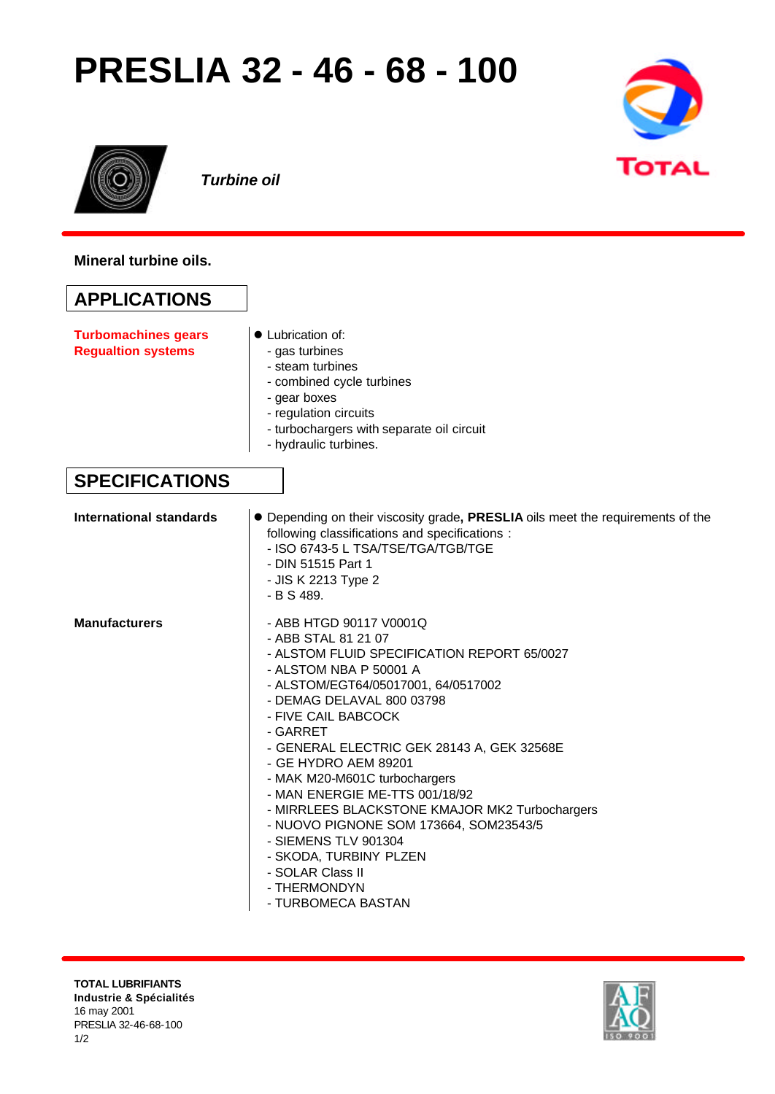## **PRESLIA 32 - 46 - 68 - 100**





*Turbine oil*

**Mineral turbine oils.**

## **APPLICATIONS**

**Turbomachines gears Regualtion systems**

- Lubrication of:
	- gas turbines
	- steam turbines
	- combined cycle turbines
	- gear boxes
	- regulation circuits
	- turbochargers with separate oil circuit
- hydraulic turbines.

## **SPECIFICATIONS**

| International standards | • Depending on their viscosity grade, PRESLIA oils meet the requirements of the<br>following classifications and specifications :<br>- ISO 6743-5 L TSA/TSE/TGA/TGB/TGE<br>- DIN 51515 Part 1<br>- JIS K 2213 Type 2<br>- B S 489.                                                                                                                                                                                                                                                                                                                                              |
|-------------------------|---------------------------------------------------------------------------------------------------------------------------------------------------------------------------------------------------------------------------------------------------------------------------------------------------------------------------------------------------------------------------------------------------------------------------------------------------------------------------------------------------------------------------------------------------------------------------------|
| <b>Manufacturers</b>    | - ABB HTGD 90117 V0001Q<br>- ABB STAL 81 21 07<br>- ALSTOM FLUID SPECIFICATION REPORT 65/0027<br>- ALSTOM NBA P 50001 A<br>- ALSTOM/EGT64/05017001, 64/0517002<br>- DEMAG DELAVAL 800 03798<br>- FIVE CAIL BABCOCK<br>- GARRET<br>- GENERAL ELECTRIC GEK 28143 A, GEK 32568E<br>- GE HYDRO AEM 89201<br>- MAK M20-M601C turbochargers<br>- MAN ENERGIE ME-TTS 001/18/92<br>- MIRRLEES BLACKSTONE KMAJOR MK2 Turbochargers<br>- NUOVO PIGNONE SOM 173664, SOM23543/5<br>- SIEMENS TLV 901304<br>- SKODA, TURBINY PLZEN<br>- SOLAR Class II<br>- THERMONDYN<br>- TURBOMECA BASTAN |

**TOTAL LUBRIFIANTS Industrie & Spécialités** 16 may 2001 PRESLIA 32-46-68-100 1/2